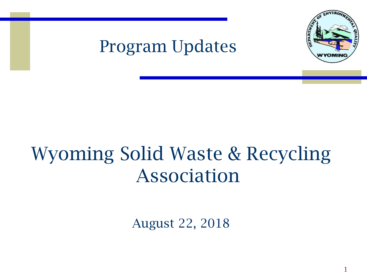

1

#### Program Updates

#### Wyoming Solid Waste & Recycling Association

August 22, 2018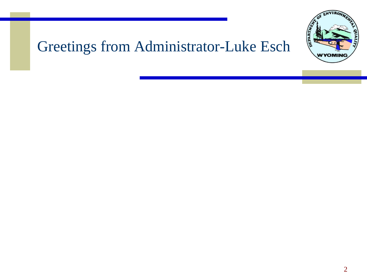

#### Greetings from Administrator-Luke Esch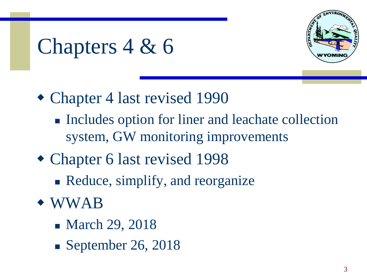

## Chapters 4 & 6

- Chapter 4 last revised 1990
	- Includes option for liner and leachate collection system, GW monitoring improvements
- Chapter 6 last revised 1998
	- Reduce, simplify, and reorganize
- WWAB
	- March 29, 2018
	- $\blacksquare$  September 26, 2018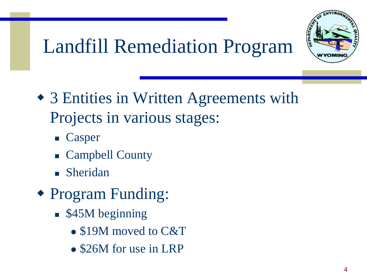

#### Landfill Remediation Program

- 3 Entities in Written Agreements with Projects in various stages:
	- Casper
	- Campbell County
	- Sheridan
- Program Funding:
	- \$45M beginning
		- \$19M moved to C&T
		- \$26M for use in LRP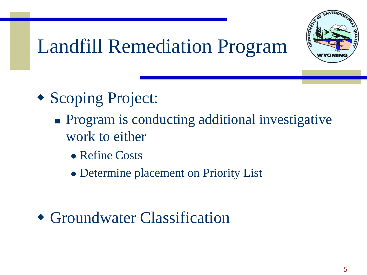

#### Landfill Remediation Program

- Scoping Project:
	- Program is conducting additional investigative work to either
		- ⚫ Refine Costs
		- ⚫ Determine placement on Priority List

Groundwater Classification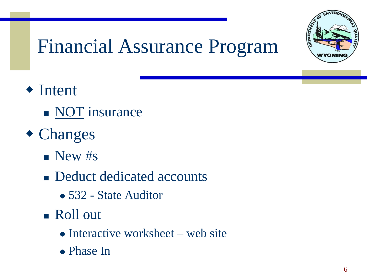

#### Financial Assurance Program

- ◆ Intent
	- NOT insurance
- Changes
	- $\blacksquare$  New #s
	- Deduct dedicated accounts
		- ⚫ 532 State Auditor
	- Roll out
		- Interactive worksheet web site
		- ⚫ Phase In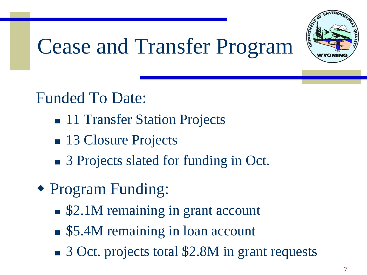

## Cease and Transfer Program

#### Funded To Date:

- 11 Transfer Station Projects
- 13 Closure Projects
- 3 Projects slated for funding in Oct.
- Program Funding:
	- \$2.1M remaining in grant account
	- \$5.4M remaining in loan account
	- 3 Oct. projects total \$2.8M in grant requests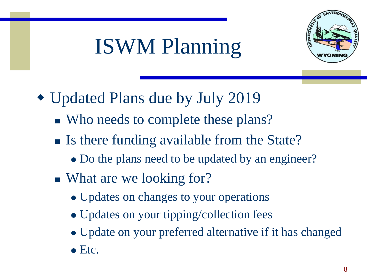

# ISWM Planning

- Updated Plans due by July 2019
	- Who needs to complete these plans?
	- Is there funding available from the State?
		- Do the plans need to be updated by an engineer?
	- What are we looking for?
		- ⚫ Updates on changes to your operations
		- Updates on your tipping/collection fees
		- ⚫ Update on your preferred alternative if it has changed
		- Etc.